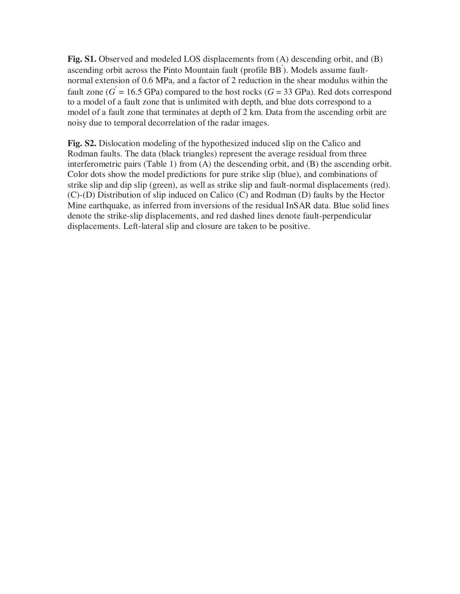**Fig. S1.** Observed and modeled LOS displacements from (A) descending orbit, and (B) ascending orbit across the Pinto Mountain fault (profile BB′ ). Models assume faultnormal extension of 0.6 MPa, and a factor of 2 reduction in the shear modulus within the fault zone ( $G$  = 16.5 GPa) compared to the host rocks ( $G$  = 33 GPa). Red dots correspond to a model of a fault zone that is unlimited with depth, and blue dots correspond to a model of a fault zone that terminates at depth of 2 km. Data from the ascending orbit are noisy due to temporal decorrelation of the radar images.

**Fig. S2.** Dislocation modeling of the hypothesized induced slip on the Calico and Rodman faults. The data (black triangles) represent the average residual from three interferometric pairs (Table 1) from (A) the descending orbit, and (B) the ascending orbit. Color dots show the model predictions for pure strike slip (blue), and combinations of strike slip and dip slip (green), as well as strike slip and fault-normal displacements (red). (C)-(D) Distribution of slip induced on Calico (C) and Rodman (D) faults by the Hector Mine earthquake, as inferred from inversions of the residual InSAR data. Blue solid lines denote the strike-slip displacements, and red dashed lines denote fault-perpendicular displacements. Left-lateral slip and closure are taken to be positive.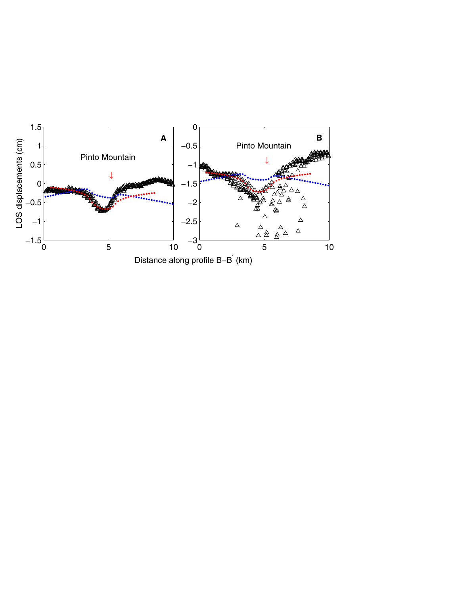